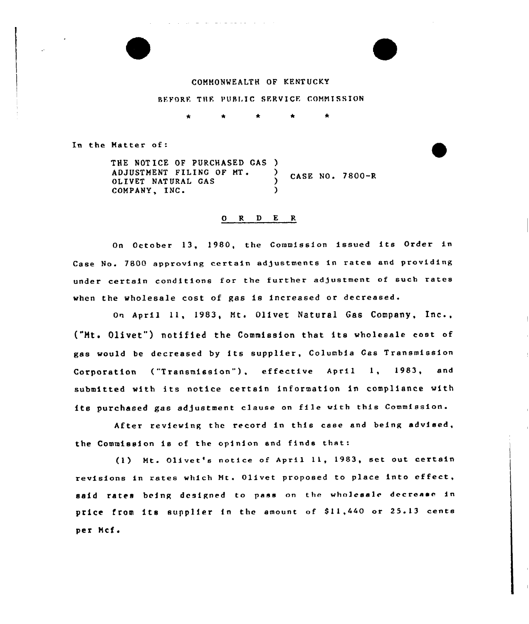

BEFORE THE PUBLIC SERVICE COMMISSION

In the Matter of:

THE NOTICE OF PURCHASED GAS ) ADJUSTMENT FILING OF MT. ) CASE NO. 7800-R OLIVET NATURAL GAS (1997) COMPANY, INC. )

## 0 R <sup>D</sup> E R

On October 13, 1980, the Commission issued its Order in Case No. 7800 approving certain adjustments in rates and providing under certain conditions for the further adjustment of such rates when the wholesale cost of gas is increased or decreased.

On April ll, 1983, Mt. Olivet Natural Gas Company, Inc., ("Ht. Olivet") notified the Commission that its wholesale cost of gas would be decreased by its supplier, Columbia Gas Transmission Corporation ("Transmission"), effective April 1, 1983, and submitted with its notice certain information in compliance with its purchased gas adjustment clause on file with this Commission.

After reviewing the record in this case and being advised, the Commission is of the opinion and finds that:

(1) Mt. Olivet's notice of April 11, 1983, set out certain revisions in rates which Mt. Olivet proposed to place into effect. said rates being designed to pass on the wholesale decrease in price from its supplier in the amount of \$11,440 or 25.13 cents per Mcf.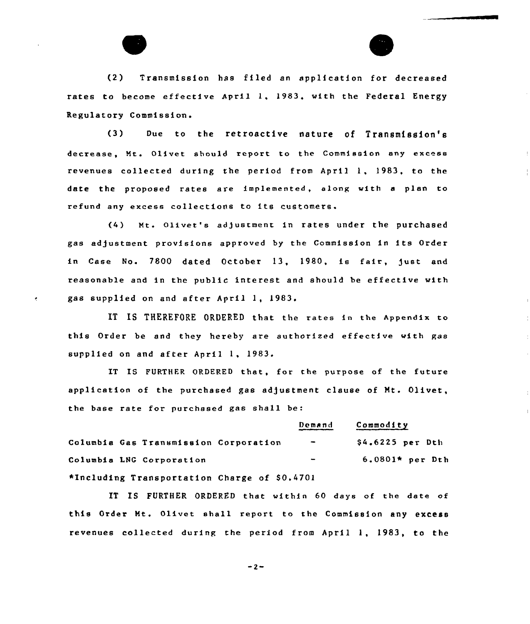(2) Transmission has filed an application for decreased rates to become effective April 1, 1983, with the Federal Energy Regulatory Commission.

(3) Due to the retroactive nature of Transmission's decrease, Nt. Qlivet should report to the Commission any excess revenues collected during the period from April 1, 1983, to the date the proposed rates are implemented, along with a plan to refund any excess collections to its customers

(4) Mt. Olivet's adjustment in rates under the purchased gas adjustment provisions approved by the Commission in its Order in Case No. 7800 dated October 13, 1980, is fair, just and reasonable and in the public interest and should be effective with gas supplied on and after April 1, 1983.

IT IS THEREFORE ORDERED that the rates in the Appendix to this Order be and they hereby are authorized effective with gas supplied on and after April 1, 1983.

IT IS FURTHER ORDERED that, for the purpose of the future application of the purchased gas adjustment clause of Mt. Olivet, the base rate for purchased gas shall be:

|                                              | Demand                       | Commodity         |
|----------------------------------------------|------------------------------|-------------------|
| Columbia Gas Transmission Corporation        | $\sim$                       | $$4.6225$ per Dth |
| Columbia LNG Corporation                     | $\qquad \qquad \blacksquare$ | 6.0801* per Dth   |
| *Including Transportation Charge of \$0.4701 |                              |                   |

IT IS FURTHER ORDERED that within 60 days of the date of this Order Ht. Olivet shall report to the Commission any excess revenues collected during the period from April 1, 1983, to the

 $-2-$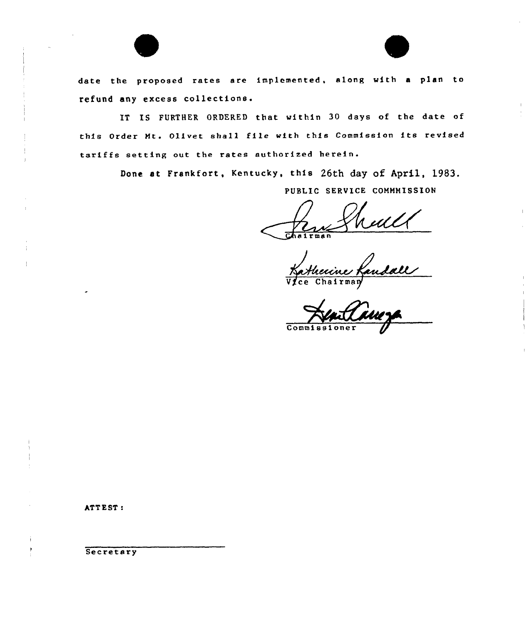

date the proposed rates are implemented, along with <sup>a</sup> plan to refund any excess collectione.

IT IS FURTHER ORDERED that within 30 days of the date of this Order Mt. Qlivet shall file with this Commission its revised tariffs setting out the rates authorized

> Done at Frankfort, Kentucky, this 26th day of April, 1983. PUBLIC SERVICE COMMMISSION

Veull

Commissi

ATT EST:

Secretary